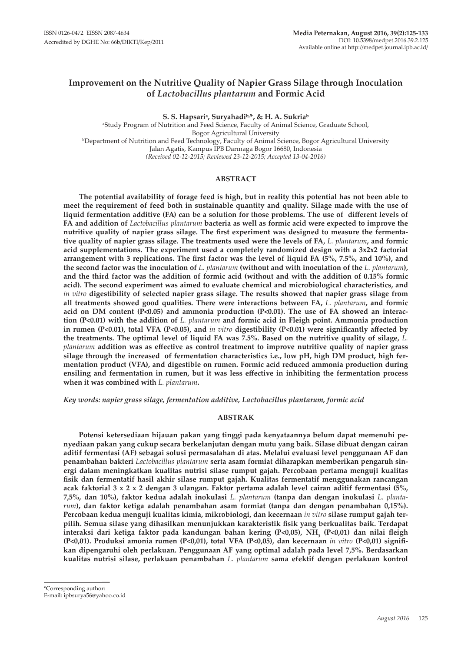# **Improvement on the Nutritive Quality of Napier Grass Silage through Inoculation of** *Lactobacillus plantarum* **and Formic Acid**

**S. S. Hapsariᵃ, Suryahadiᵇ,\*, & H. A. Sukriaᵇ** a Study Program of Nutrition and Feed Science, Faculty of Animal Science, Graduate School, Bogor Agricultural University<br>Department of Nutrition and Feed Technology, Faculty of Animal Science, Bogor Agricultural University<sup>,</sup> Jalan Agatis, Kampus IPB Darmaga Bogor 16680, Indonesia *(Received 02-12-2015; Reviewed 23-12-2015; Accepted 13-04-2016)*

# **ABSTRACT**

**The potential availability of forage feed is high, but in reality this potential has not been able to meet the requirement of feed both in sustainable quantity and quality. Silage made with the use of liquid fermentation additive (FA) can be a solution for those problems. The use of different levels of FA and addition of** *Lactobacillus plantarum* **bacteria as well as formic acid were expected to improve the nutritive quality of napier grass silage. The first experiment was designed to measure the fermentative quality of napier grass silage. The treatments used were the levels of FA,** *L. plantarum***, and formic acid supplementations. The experiment used a completely randomized design with a 3x2x2 factorial arrangement with 3 replications. The first factor was the level of liquid FA (5%, 7.5%, and 10%), and the second factor was the inoculation of** *L. plantarum* **(without and with inoculation of the** *L. plantarum***), and the third factor was the addition of formic acid (without and with the addition of 0.15% formic acid). The second experiment was aimed to evaluate chemical and microbiological characteristics, and**  *in vitro* **digestibility of selected napier grass silage. The results showed that napier grass silage from all treatments showed good qualities. There were interactions between FA,** *L. plantarum***, and formic acid on DM content (P<0.05) and ammonia production (P<0.01). The use of FA showed an interaction (P<0.01) with the addition of** *L. plantarum* **and formic acid in Fleigh point. Ammonia production in rumen (P<0.01), total VFA (P<0.05), and** *in vitro* **digestibility (P<0.01) were significantly affected by the treatments. The optimal level of liquid FA was 7.5%. Based on the nutritive quality of silage,** *L. plantarum* **addition was as effective as control treatment to improve nutritive quality of napier grass silage through the increased of fermentation characteristics i.e., low pH, high DM product, high fermentation product (VFA), and digestible on rumen. Formic acid reduced ammonia production during ensiling and fermentation in rumen, but it was less effective in inhibiting the fermentation process when it was combined with** *L. plantarum***.** 

*Key words: napier grass silage, fermentation additive, Lactobacillus plantarum, formic acid*

## **ABSTRAK**

**Potensi ketersediaan hijauan pakan yang tinggi pada kenyataannya belum dapat memenuhi penyediaan pakan yang cukup secara berkelanjutan dengan mutu yang baik. Silase dibuat dengan cairan aditif fermentasi (AF) sebagai solusi permasalahan di atas. Melalui evaluasi level penggunaan AF dan penambahan bakteri** *Lactobacillus plantarum* **serta asam formiat diharapkan memberikan pengaruh sinergi dalam meningkatkan kualitas nutrisi silase rumput gajah. Percobaan pertama menguji kualitas fisik dan fermentatif hasil akhir silase rumput gajah. Kualitas fermentatif menggunakan rancangan acak faktorial 3 x 2 x 2 dengan 3 ulangan. Faktor pertama adalah level cairan aditif fermentasi (5%, 7,5%, dan 10%), faktor kedua adalah inokulasi** *L. plantarum* **(tanpa dan dengan inokulasi** *L. plantarum***), dan faktor ketiga adalah penambahan asam formiat (tanpa dan dengan penambahan 0,15%). Percobaan kedua menguji kualitas kimia, mikrobiologi, dan kecernaan** *in vitro* **silase rumput gajah terpilih. Semua silase yang dihasilkan menunjukkan karakteristik fisik yang berkualitas baik. Terdapat**  interaksi dari ketiga faktor pada kandungan bahan kering (P<0,05), NH<sub>3</sub> (P<0,01) dan nilai fleigh **(P<0,01). Produksi amonia rumen (P<0,01), total VFA (P<0,05), dan kecernaan** *in vitro* **(P<0,01) signifikan dipengaruhi oleh perlakuan. Penggunaan AF yang optimal adalah pada level 7,5%. Berdasarkan kualitas nutrisi silase, perlakuan penambahan** *L. plantarum* **sama efektif dengan perlakuan kontrol** 

<sup>\*</sup>Corresponding author: E-mail: ipbsurya56@yahoo.co.id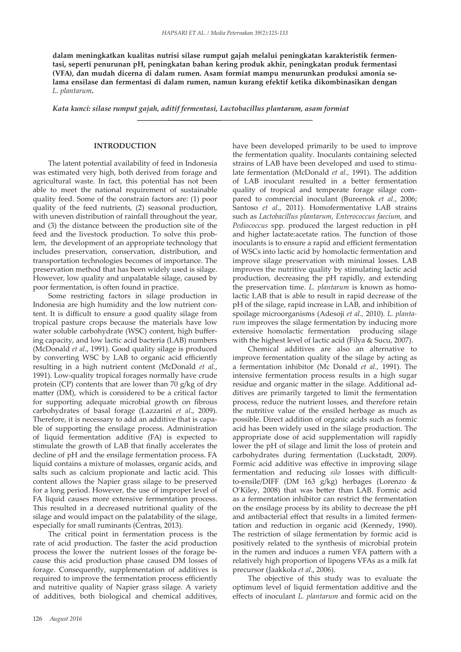**dalam meningkatkan kualitas nutrisi silase rumput gajah melalui peningkatan karakteristik fermentasi, seperti penurunan pH, peningkatan bahan kering produk akhir, peningkatan produk fermentasi (VFA), dan mudah dicerna di dalam rumen. Asam formiat mampu menurunkan produksi amonia selama ensilase dan fermentasi di dalam rumen, namun kurang efektif ketika dikombinasikan dengan**  *L. plantarum***.** 

*Kata kunci: silase rumput gajah, aditif fermentasi, Lactobacillus plantarum, asam formiat*

#### **INTRODUCTION**

The latent potential availability of feed in Indonesia was estimated very high, both derived from forage and agricultural waste. In fact, this potential has not been able to meet the national requirement of sustainable quality feed. Some of the constrain factors are: (1) poor quality of the feed nutrients, (2) seasonal production, with uneven distribution of rainfall throughout the year, and (3) the distance between the production site of the feed and the livestock production. To solve this problem, the development of an appropriate technology that includes preservation, conservation, distribution, and transportation technologies becomes of importance. The preservation method that has been widely used is silage. However, low quality and unpalatable silage, caused by poor fermentation, is often found in practice.

Some restricting factors in silage production in Indonesia are high humidity and the low nutrient content. It is difficult to ensure a good quality silage from tropical pasture crops because the materials have low water soluble carbohydrate (WSC) content, high buffering capacity, and low lactic acid bacteria (LAB) numbers (McDonald *et al*., 1991). Good quality silage is produced by converting WSC by LAB to organic acid efficiently resulting in a high nutrient content (McDonald *et al.*, 1991). Low-quality tropical forages normally have crude protein (CP) contents that are lower than 70 g/kg of dry matter (DM), which is considered to be a critical factor for supporting adequate microbial growth on fibrous carbohydrates of basal forage (Lazzarini *et al*., 2009). Therefore, it is necessary to add an additive that is capable of supporting the ensilage process. Administration of liquid fermentation additive (FA) is expected to stimulate the growth of LAB that finally accelerates the decline of pH and the ensilage fermentation process. FA liquid contains a mixture of molasses, organic acids, and salts such as calcium propionate and lactic acid. This content allows the Napier grass silage to be preserved for a long period. However, the use of improper level of FA liquid causes more extensive fermentation process. This resulted in a decreased nutritional quality of the silage and would impact on the palatability of the silage, especially for small ruminants (Centras, 2013).

The critical point in fermentation process is the rate of acid production. The faster the acid production process the lower the nutrient losses of the forage because this acid production phase caused DM losses of forage. Consequently, supplementation of additives is required to improve the fermentation process efficiently and nutritive quality of Napier grass silage. A variety of additives, both biological and chemical additives, have been developed primarily to be used to improve the fermentation quality. Inoculants containing selected strains of LAB have been developed and used to stimulate fermentation (McDonald *et al.,* 1991). The addition of LAB inoculant resulted in a better fermentation quality of tropical and temperate forage silage compared to commercial inoculant (Bureenok *et al*., 2006; Santoso *et al*., 2011). Homofermentative LAB strains such as *Lactobacillus plantarum*, *Enterococcus faecium,* and *Pediococcus* spp. produced the largest reduction in pH and higher lactate:acetate ratios. The function of those inoculants is to ensure a rapid and efficient fermentation of WSCs into lactic acid by homolactic fermentation and improve silage preservation with minimal losses. LAB improves the nutritive quality by stimulating lactic acid production, decreasing the pH rapidly, and extending the preservation time. *L. plantarum* is known as homolactic LAB that is able to result in rapid decrease of the pH of the silage, rapid increase in LAB, and inhibition of spoilage microorganisms (Adesoji *et al.,* 2010). *L. plantarum* improves the silage fermentation by inducing more extensive homolactic fermentation producing silage with the highest level of lactic acid (Filya & Sucu, 2007).

Chemical additives are also an alternative to improve fermentation quality of the silage by acting as a fermentation inhibitor (Mc Donald *et al.,* 1991). The intensive fermentation process results in a high sugar residue and organic matter in the silage. Additional additives are primarily targeted to limit the fermentation process, reduce the nutrient losses, and therefore retain the nutritive value of the ensiled herbage as much as possible. Direct addition of organic acids such as formic acid has been widely used in the silage production. The appropriate dose of acid supplementation will rapidly lower the pH of silage and limit the loss of protein and carbohydrates during fermentation (Luckstadt, 2009). Formic acid additive was effective in improving silage fermentation and reducing *silo* losses with difficultto-ensile/DIFF (DM 163 g/kg) herbages (Lorenzo & O'Kiley, 2008) that was better than LAB. Formic acid as a fermentation inhibitor can restrict the fermentation on the ensilage process by its ability to decrease the pH and antibacterial effect that results in a limited fermentation and reduction in organic acid (Kennedy, 1990). The restriction of silage fermentation by formic acid is positively related to the synthesis of microbial protein in the rumen and induces a rumen VFA pattern with a relatively high proportion of lipogens VFAs as a milk fat precursor (Jaakkola *et al*., 2006).

The objective of this study was to evaluate the optimum level of liquid fermentation additive and the effects of inoculant *L. plantarum* and formic acid on the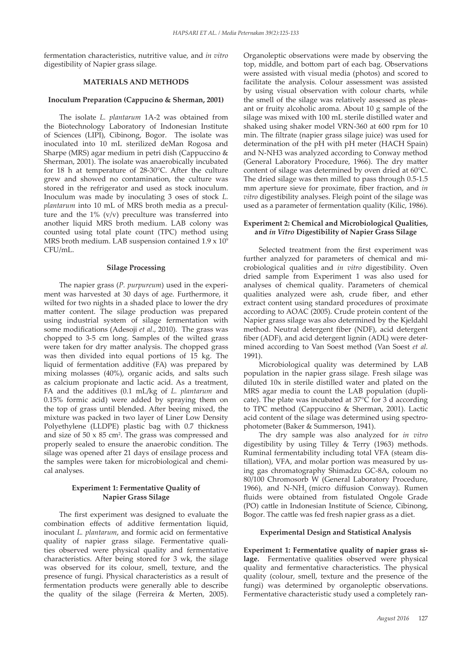fermentation characteristics, nutritive value, and *in vitro* digestibility of Napier grass silage.

### **MATERIALS AND METHODS**

#### **Inoculum Preparation (Cappucino & Sherman, 2001)**

The isolate *L. plantarum* 1A-2 was obtained from the Biotechnology Laboratory of Indonesian Institute of Sciences (LIPI), Cibinong, Bogor. The isolate was inoculated into 10 mL sterilized deMan Rogosa and Sharpe (MRS) agar medium in petri dish (Cappuccino & Sherman, 2001). The isolate was anaerobically incubated for 18 h at temperature of 28-30°C. After the culture grew and showed no contamination, the culture was stored in the refrigerator and used as stock inoculum. Inoculum was made by inoculating 3 oses of stock *L. plantarum* into 10 mL of MRS broth media as a preculture and the  $1\%$  (v/v) preculture was transferred into another liquid MRS broth medium. LAB colony was counted using total plate count (TPC) method using MRS broth medium. LAB suspension contained 1.9 x 10<sup>9</sup> CFU/mL.

### **Silage Processing**

The napier grass (*P. purpureum*) used in the experiment was harvested at 30 days of age. Furthermore, it wilted for two nights in a shaded place to lower the dry matter content. The silage production was prepared using industrial system of silage fermentation with some modifications (Adesoji *et al*., 2010). The grass was chopped to 3-5 cm long. Samples of the wilted grass were taken for dry matter analysis. The chopped grass was then divided into equal portions of 15 kg. The liquid of fermentation additive (FA) was prepared by mixing molasses (40%), organic acids, and salts such as calcium propionate and lactic acid. As a treatment, FA and the additives (0.1 mL/kg of *L. plantarum* and 0.15% formic acid) were added by spraying them on the top of grass until blended. After beeing mixed, the mixture was packed in two layer of Liner Low Density Polyethylene (LLDPE) plastic bag with 0.7 thickness and size of  $50 \times 85$  cm<sup>2</sup>. The grass was compressed and properly sealed to ensure the anaerobic condition. The silage was opened after 21 days of ensilage process and the samples were taken for microbiological and chemical analyses.

# **Experiment 1: Fermentative Quality of Napier Grass Silage**

The first experiment was designed to evaluate the combination effects of additive fermentation liquid, inoculant *L. plantarum*, and formic acid on fermentative quality of napier grass silage. Fermentative qualities observed were physical quality and fermentative characteristics. After being stored for 3 wk, the silage was observed for its colour, smell, texture, and the presence of fungi. Physical characteristics as a result of fermentation products were generally able to describe the quality of the silage (Ferreira & Merten, 2005). Organoleptic observations were made by observing the top, middle, and bottom part of each bag. Observations were assisted with visual media (photos) and scored to facilitate the analysis. Colour assessment was assisted by using visual observation with colour charts, while the smell of the silage was relatively assessed as pleasant or fruity alcoholic aroma. About 10 g sample of the silage was mixed with 100 mL sterile distilled water and shaked using shaker model VRN-360 at 600 rpm for 10 min. The filtrate (napier grass silage juice) was used for determination of the pH with pH meter (HACH Spain) and N-NH3 was analyzed according to Conway method (General Laboratory Procedure, 1966). The dry matter content of silage was determined by oven dried at 60°C. The dried silage was then milled to pass through 0.5-1.5 mm aperture sieve for proximate, fiber fraction, and *in vitro* digestibility analyses. Fleigh point of the silage was used as a parameter of fermentation quality (Kilic, 1986).

# **Experiment 2: Chemical and Microbiological Qualities, and** *in Vitro* **Digestibility of Napier Grass Silage**

Selected treatment from the first experiment was further analyzed for parameters of chemical and microbiological qualities and *in vitro* digestibility. Oven dried sample from Experiment 1 was also used for analyses of chemical quality. Parameters of chemical qualities analyzed were ash, crude fiber, and ether extract content using standard procedures of proximate according to AOAC (2005). Crude protein content of the Napier grass silage was also determined by the Kjeldahl method. Neutral detergent fiber (NDF), acid detergent fiber (ADF), and acid detergent lignin (ADL) were determined according to Van Soest method (Van Soest *et al.* 1991).

Microbiological quality was determined by LAB population in the napier grass silage. Fresh silage was diluted 10x in sterile distilled water and plated on the MRS agar media to count the LAB population (duplicate). The plate was incubated at 37°C for 3 d according to TPC method (Cappuccino & Sherman, 2001). Lactic acid content of the silage was determined using spectrophotometer (Baker & Summerson, 1941).

The dry sample was also analyzed for *in vitro* digestibility by using Tilley & Terry (1963) methods. Ruminal fermentability including total VFA (steam distillation), VFA, and molar portion was measured by using gas chromatography Shimadzu GC-8A, coloum no 80/100 Chromosorb W (General Laboratory Procedure, 1966), and N-NH<sub>3</sub> (micro diffusion Conway). Rumen fluids were obtained from fistulated Ongole Grade (PO) cattle in Indonesian Institute of Science, Cibinong, Bogor. The cattle was fed fresh napier grass as a diet.

### **Experimental Design and Statistical Analysis**

**Experiment 1: Fermentative quality of napier grass silage.** Fermentative qualities observed were physical quality and fermentative characteristics. The physical quality (colour, smell, texture and the presence of the fungi) was determined by organoleptic observations. Fermentative characteristic study used a completely ran-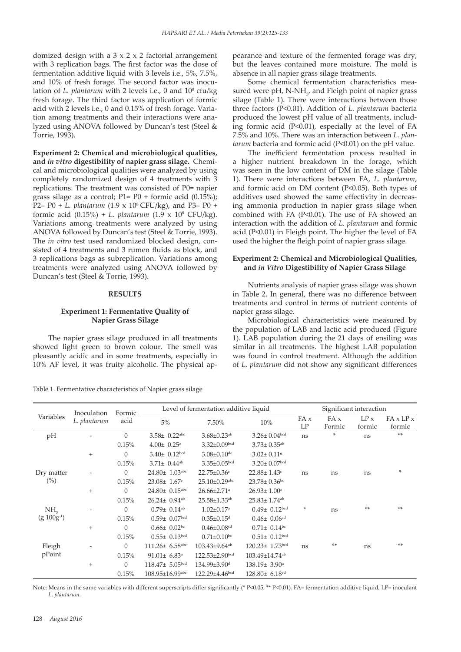domized design with a  $3 \times 2 \times 2$  factorial arrangement with 3 replication bags. The first factor was the dose of fermentation additive liquid with 3 levels i.e., 5%, 7.5%, and 10% of fresh forage. The second factor was inoculation of *L. plantarum* with 2 levels i.e., 0 and 10<sup>8</sup> cfu/kg fresh forage. The third factor was application of formic acid with 2 levels i.e., 0 and 0.15% of fresh forage. Variation among treatments and their interactions were analyzed using ANOVA followed by Duncan's test (Steel & Torrie, 1993).

**Experiment 2: Chemical and microbiological qualities, and** *in vitro* **digestibility of napier grass silage.** Chemical and microbiological qualities were analyzed by using completely randomized design of 4 treatments with 3 replications. The treatment was consisted of P0= napier grass silage as a control; P1= P0 + formic acid (0.15%); P2= P0 + *L. plantarum* (1.9 x 108 CFU/kg), and P3= P0 + formic acid (0.15%) + *L. plantarum* (1.9 x 108 CFU/kg). Variations among treatments were analyzed by using ANOVA followed by Duncan's test (Steel & Torrie, 1993). The *in vitro* test used randomized blocked design, consisted of 4 treatments and 3 rumen fluids as block, and 3 replications bags as subreplication. Variations among treatments were analyzed using ANOVA followed by Duncan's test (Steel & Torrie, 1993).

## **RESULTS**

# **Experiment 1: Fermentative Quality of Napier Grass Silage**

The napier grass silage produced in all treatments showed light green to brown colour. The smell was pleasantly acidic and in some treatments, especially in 10% AF level, it was fruity alcoholic. The physical ap-

Table 1. Fermentative characteristics of Napier grass silage

pearance and texture of the fermented forage was dry, but the leaves contained more moisture. The mold is absence in all napier grass silage treatments.

Some chemical fermentation characteristics measured were pH,  $N-NH_y$  and Fleigh point of napier grass silage (Table 1). There were interactions between those three factors (P<0.01). Addition of *L. plantarum* bacteria produced the lowest pH value of all treatments, including formic acid (P<0.01), especially at the level of FA 7.5% and 10%. There was an interaction between *L. plantarum* bacteria and formic acid (P<0.01) on the pH value.

The inefficient fermentation process resulted in a higher nutrient breakdown in the forage, which was seen in the low content of DM in the silage (Table 1). There were interactions between FA, *L. plantarum*, and formic acid on DM content (P<0.05). Both types of additives used showed the same effectivity in decreasing ammonia production in napier grass silage when combined with FA (P<0.01). The use of FA showed an interaction with the addition of *L. plantarum* and formic acid (P<0.01) in Fleigh point. The higher the level of FA used the higher the fleigh point of napier grass silage.

# **Experiment 2: Chemical and Microbiological Qualities, and** *in Vitro* **Digestibility of Napier Grass Silage**

Nutrients analysis of napier grass silage was shown in Table 2. In general, there was no difference between treatments and control in terms of nutrient contents of napier grass silage.

Microbiological characteristics were measured by the population of LAB and lactic acid produced (Figure 1). LAB population during the 21 days of ensiling was similar in all treatments. The highest LAB population was found in control treatment. Although the addition of *L. plantarum* did not show any significant differences

| Variables            | Inoculation<br>L. plantarum | Formic<br>acid | Level of fermentation additive liquid |                                |                                 | Significant interaction |                |                |                                 |
|----------------------|-----------------------------|----------------|---------------------------------------|--------------------------------|---------------------------------|-------------------------|----------------|----------------|---------------------------------|
|                      |                             |                | 5%                                    | 7.50%                          | 10%                             | FA x<br>LP              | FA x<br>Formic | LP x<br>formic | $FA \times LP \times$<br>formic |
| pH                   |                             | $\Omega$       | $3.58 \pm 0.22$ <sup>abc</sup>        | $3.68 \pm 0.23$ <sup>ab</sup>  | $3.26 \pm 0.04$ bcd             | ns                      | ×              | ns             | $**$                            |
|                      |                             | 0.15%          | $4.00 \pm 0.25$ <sup>a</sup>          | $3.32 \pm 0.09$ bcd            | $3.73 \pm 0.35$ <sup>ab</sup>   |                         |                |                |                                 |
|                      | $^{+}$                      | $\theta$       | $3.40 \pm 0.12$ bcd                   | $3.08 \pm 0.10$ de             | $3.02 \pm 0.11$ <sup>e</sup>    |                         |                |                |                                 |
|                      |                             | 0.15%          | $3.71 \pm 0.44$ <sup>ab</sup>         | $3.35 \pm 0.05$ bcd            | $3.20 \pm 0.07$ bcd             |                         |                |                |                                 |
| Dry matter<br>$(\%)$ |                             | $\Omega$       | $24.80 \pm 1.03$ <sup>abc</sup>       | $22.75 \pm 0.36$ c             | $22.88 \pm 1.43$ c              | ns                      | ns             | ns             | $*$                             |
|                      |                             | 0.15%          | $23.08 \pm 1.67$ <sup>c</sup>         | $25.10 \pm 0.29$ abc           | $23.78 \pm 0.36$ bc             |                         |                |                |                                 |
|                      | $^{+}$                      | $\theta$       | $24.80 \pm 0.15$ abc                  | 26.66±2.71ª                    | $26.93 \pm 1.00$ <sup>a</sup>   |                         |                |                |                                 |
|                      |                             | 0.15%          | $26.24 \pm 0.94$ <sup>ab</sup>        | $25.58 \pm 1.33$ <sup>ab</sup> | $25.83 \pm 1.74$ <sup>ab</sup>  |                         |                |                |                                 |
| NH <sub>2</sub>      |                             | $\Omega$       | $0.79 \pm 0.14$ <sup>ab</sup>         | $1.02 \pm 0.17$ <sup>a</sup>   | $0.49 \pm 0.12^{bcd}$           | ×                       | ns             | $**$           | **                              |
| $(g 100g^{-1})$      |                             | 0.15%          | $0.59 \pm 0.07$ bcd                   | $0.35 \pm 0.15$ <sup>d</sup>   | $0.46 \pm 0.06$ <sup>cd</sup>   |                         |                |                |                                 |
|                      | $\ddot{}$                   | $\Omega$       | $0.66 \pm 0.02$ bc                    | $0.46 \pm 0.08$ cd             | $0.71 \pm 0.14$ bc              |                         |                |                |                                 |
|                      |                             | 0.15%          | $0.55 \pm 0.13$ bcd                   | $0.71 \pm 0.10$ bc             | $0.51 \pm 0.12^{bcd}$           |                         |                |                |                                 |
| Fleigh<br>pPoint     |                             | $\Omega$       | $111.26 \pm 6.58$ <sup>abc</sup>      | $103.43\pm9.64^{ab}$           | $120.23 \pm 1.73$ bcd           | ns                      | $**$           | ns             | **                              |
|                      |                             | 0.15%          | $91.01 \pm 6.83$ <sup>a</sup>         | 122.53±2.90bcd                 | 103.49±14.74 <sup>ab</sup>      |                         |                |                |                                 |
|                      | $^{+}$                      | $\theta$       | $118.47 \pm 5.05$ bcd                 | 134.99±3.90 <sup>d</sup>       | 138.19± 3.90 <sup>a</sup>       |                         |                |                |                                 |
|                      |                             | 0.15%          | 108.95±16.99abc                       | $122.29 \pm 4.46$ bcd          | $128.80 \pm 6.18$ <sup>cd</sup> |                         |                |                |                                 |

Note: Means in the same variables with different superscripts differ significantly (\* P<0.05, \*\* P<0.01). FA= fermentation additive liquid, LP= inoculant *L. plantarum*.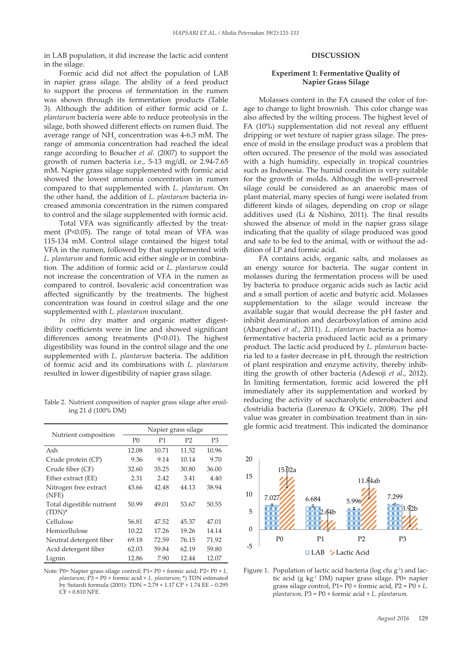in LAB population, it did increase the lactic acid content in the silage.

Formic acid did not affect the population of LAB in napier grass silage. The ability of a feed product to support the process of fermentation in the rumen was shown through its fermentation products (Table 3). Although the addition of either formic acid or *L. plantarum* bacteria were able to reduce proteolysis in the silage, both showed different effects on rumen fluid. The average range of  $NH<sub>3</sub>$  concentration was 4-6.3 mM. The range of ammonia concentration had reached the ideal range according to Boucher *et al.* (2007) to support the growth of rumen bacteria i.e., 5-13 mg/dL or 2.94-7.65 mM. Napier grass silage supplemented with formic acid showed the lowest ammonia concentration in rumen compared to that supplemented with *L. plantarum*. On the other hand, the addition of *L. plantarum* bacteria increased ammonia concentration in the rumen compared to control and the silage supplemented with formic acid.

Total VFA was significantly affected by the treatment (P<0.05). The range of total mean of VFA was 115-134 mM. Control silage contained the higest total VFA in the rumen, followed by that supplemented with *L. plantarum* and formic acid either single or in combination. The addition of formic acid or *L. plantarum* could not increase the concentration of VFA in the rumen as compared to control. Isovaleric acid concentration was affected significantly by the treatments. The highest concentration was found in control silage and the one supplemented with *L. plantarum* inoculant.

*In vitro* dry matter and organic matter digestibility coefficients were in line and showed significant differences among treatments (P<0.01). The highest digestibility was found in the control silage and the one supplemented with *L. plantarum* bacteria. The addition of formic acid and its combinations with *L. plantarum* resulted in lower digestibility of napier grass silage.

Table 2. Nutrient composition of napier grass silage after ensiling 21 d (100% DM)

|                                        | Napier grass silage |       |                |                |  |  |  |
|----------------------------------------|---------------------|-------|----------------|----------------|--|--|--|
| Nutrient composition                   | P <sub>0</sub>      | P1    | P <sub>2</sub> | P <sub>3</sub> |  |  |  |
| Ash                                    | 12.08               | 10.71 | 11.52          | 10.96          |  |  |  |
| Crude protein (CP)                     | 9.36                | 9.14  | 10.14          | 9.70           |  |  |  |
| Crude fiber (CF)                       | 32.60               | 35.25 | 30.80          | 36.00          |  |  |  |
| Ether extract (EE)                     | 2.31                | 2.42  | 3.41           | 4.40           |  |  |  |
| Nitrogen free extract<br>(NFE)         | 43.66               | 42.48 | 44.13          | 38.94          |  |  |  |
| Total digestible nutrient<br>$(TDN)^*$ | 50.99               | 49.01 | 53.67          | 50.55          |  |  |  |
| Cellulose                              | 56.81               | 47.52 | 45.37          | 47.01          |  |  |  |
| Hemicellulose                          | 10.22               | 17.26 | 19.26          | 14.14          |  |  |  |
| Neutral detergent fiber                | 69.18               | 72.59 | 76.15          | 71.92          |  |  |  |
| Acid detergent fiber                   | 62.03               | 59.84 | 62.19          | 59.80          |  |  |  |
| Lignin                                 | 12.86               | 7.90  | 12.44          | 12.07          |  |  |  |

Note: P0= Napier grass silage control; P1= P0 + formic acid; P2= P0 + *L.*  572 *plantarum*; P3 = P0 + formic acid + *L. plantarum*; \*) TDN estimated by Sutardi formula (2001): TDN = 2.79 + 1.17 CP + 1.74 EE – 0.295  $CF + 0.810$  NFE.

# **DISCUSSION**

# **Experiment 1: Fermentative Quality of Napier Grass Silage**

Molasses content in the FA caused the color of forage to change to light brownish. This color change was also affected by the wilting process. The highest level of FA (10%) supplementation did not reveal any effluent dripping or wet texture of napier grass silage. The presence of mold in the ensilage product was a problem that often occured. The presence of the mold was associated with a high humidity, especially in tropical countries such as Indonesia. The humid condition is very suitable for the growth of molds. Although the well-preserved silage could be considered as an anaerobic mass of plant material, many species of fungi were isolated from different kinds of silages, depending on crop or silage additives used (Li & Nishino, 2011). The final results showed the absence of mold in the napier grass silage indicating that the quality of silage produced was good and safe to be fed to the animal, with or without the addition of LP and formic acid.

FA contains acids, organic salts, and molasses as an energy source for bacteria. The sugar content in molasses during the fermentation process will be used by bacteria to produce organic acids such as lactic acid and a small portion of acetic and butyric acid. Molasses supplementation to the silage would increase the available sugar that would decrease the pH faster and inhibit deamination and decarboxylation of amino acid (Abarghoei *et al.*, 2011). *L. plantarum* bacteria as homofermentative bacteria produced lactic acid as a primary product. The lactic acid produced by *L. plantarum* bacteria led to a faster decrease in pH, through the restriction of plant respiration and enzyme activity, thereby inhibiting the growth of other bacteria (Adesoji *et al*., 2012). In limiting fermentation, formic acid lowered the pH immediately after its supplementation and worked by reducing the activity of saccharolytic enterobacteri and clostridia bacteria (Lorenzo & O'Kiely, 2008). The pH value was greater in combination treatment than in single formic acid treatment. This indicated the dominance



Figure 1. Population of lactic acid bacteria (log cfu g-1) and lac-**Figure 1. Chart population of LAB (log cfu g-1 ) and lactic acid (g kg-1** 573 **DM) Napier** TDN estimated tic acid (g kg<sup>-1</sup> DM) napier grass silage. P0= napier 174 **FC** 0.265 1.74 EE  $-0.295$  grass silage control, P1 = P0 + formic acid, P2 = P0 + *L*. *plantarum,* P3 = P0 + formic acid + *L. plantarum.*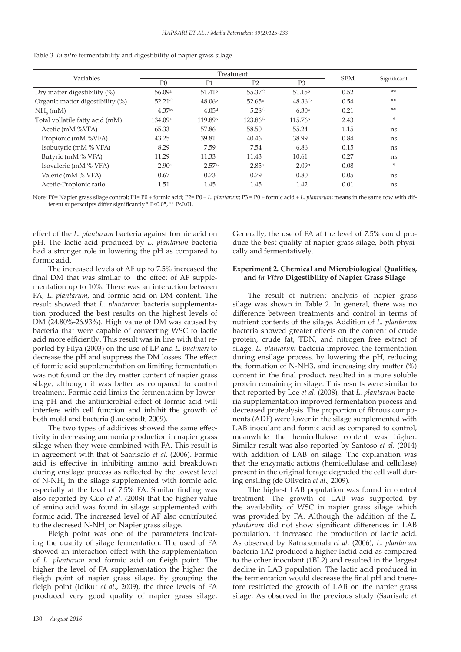| Variables                        |                     | Treatment          |                    |                     |            |             |
|----------------------------------|---------------------|--------------------|--------------------|---------------------|------------|-------------|
|                                  | P <sub>0</sub>      | P <sub>1</sub>     | P <sub>2</sub>     | P <sub>3</sub>      | <b>SEM</b> | Significant |
| Dry matter digestibility (%)     | 56.09 <sup>a</sup>  | 51.41 <sup>b</sup> | 55.37ab            | 51.15 <sup>b</sup>  | 0.52       | **          |
| Organic matter digestibility (%) | $52.21^{ab}$        | 48.06 <sup>b</sup> | 52.65a             | $48.36^{ab}$        | 0.54       | **          |
| $NH2$ (mM)                       | $4.37$ bc           | 4.05 <sup>d</sup>  | 5.28 <sup>ab</sup> | 6.30a               | 0.21       | **          |
| Total vollatile fatty acid (mM)  | 134.09 <sup>a</sup> | 119.89b            | $123.86^{ab}$      | 115.76 <sup>b</sup> | 2.43       | ÷           |
| Acetic (mM %VFA)                 | 65.33               | 57.86              | 58.50              | 55.24               | 1.15       | ns          |
| Propionic (mM %VFA)              | 43.25               | 39.81              | 40.46              | 38.99               | 0.84       | ns          |
| Isobutyric (mM % VFA)            | 8.29                | 7.59               | 7.54               | 6.86                | 0.15       | ns          |
| Butyric (mM % VFA)               | 11.29               | 11.33              | 11.43              | 10.61               | 0.27       | ns          |
| Isovaleric (mM % VFA)            | 2.90a               | 2.57 <sup>ab</sup> | 2.85a              | 2.09 <sup>b</sup>   | 0.08       | ÷           |
| Valeric (mM % VFA)               | 0.67                | 0.73               | 0.79               | 0.80                | 0.05       | ns          |
| Acetic-Propionic ratio           | 1.51                | 1.45               | 1.45               | 1.42                | 0.01       | ns          |

| Table 3. In vitro fermentability and digestibility of napier grass silage |  |  |
|---------------------------------------------------------------------------|--|--|
|                                                                           |  |  |

Note: P0= Napier grass silage control; P1= P0 + formic acid; P2= P0 + *L. plantarum*; P3 = P0 + formic acid + *L. plantarum*; means in the same row with different superscripts differ significantly \* P<0.05, \*\* P<0.01.

effect of the *L. plantarum* bacteria against formic acid on pH. The lactic acid produced by *L. plantarum* bacteria had a stronger role in lowering the pH as compared to formic acid.

The increased levels of AF up to 7.5% increased the final DM that was similar to the effect of AF supplementation up to 10%. There was an interaction between FA, *L. plantarum*, and formic acid on DM content. The result showed that *L. plantarum* bacteria supplementation produced the best results on the highest levels of DM (24.80%-26.93%). High value of DM was caused by bacteria that were capable of converting WSC to lactic acid more efficiently. This result was in line with that reported by Filya (2003) on the use of LP and *L. buchneri* to decrease the pH and suppress the DM losses. The effect of formic acid supplementation on limiting fermentation was not found on the dry matter content of napier grass silage, although it was better as compared to control treatment. Formic acid limits the fermentation by lowering pH and the antimicrobial effect of formic acid will interfere with cell function and inhibit the growth of both mold and bacteria (Luckstadt, 2009).

The two types of additives showed the same effectivity in decreasing ammonia production in napier grass silage when they were combined with FA. This result is in agreement with that of Saarisalo *et al.* (2006). Formic acid is effective in inhibiting amino acid breakdown during ensilage process as reflected by the lowest level of N-NH<sub>3</sub> in the silage supplemented with formic acid especially at the level of 7.5% FA. Similar finding was also reported by Guo *et al.* (2008) that the higher value of amino acid was found in silage supplemented with formic acid. The increased level of AF also contributed to the decresed  $N-NH_3$  on Napier grass silage.

Fleigh point was one of the parameters indicating the quality of silage fermentation. The used of FA showed an interaction effect with the supplementation of *L. plantarum* and formic acid on fleigh point. The higher the level of FA supplementation the higher the fleigh point of napier grass silage. By grouping the fleigh point (Idikut *et al*., 2009), the three levels of FA produced very good quality of napier grass silage.

Generally, the use of FA at the level of 7.5% could produce the best quality of napier grass silage, both physically and fermentatively.

# **Experiment 2. Chemical and Microbiological Qualities, and** *in Vitro* **Digestibility of Napier Grass Silage**

The result of nutrient analysis of napier grass silage was shown in Table 2. In general, there was no difference between treatments and control in terms of nutrient contents of the silage. Addition of *L. plantarum* bacteria showed greater effects on the content of crude protein, crude fat, TDN, and nitrogen free extract of silage. *L. plantarum* bacteria improved the fermentation during ensilage process, by lowering the pH, reducing the formation of N-NH3, and increasing dry matter (%) content in the final product, resulted in a more soluble protein remaining in silage. This results were similar to that reported by Lee *et al*. (2008), that *L. plantarum* bacteria supplementation improved fermentation process and decreased proteolysis. The proportion of fibrous components (ADF) were lower in the silage supplemented with LAB inoculant and formic acid as compared to control, meanwhile the hemicellulose content was higher. Similar result was also reported by Santoso *et al.* (2014) with addition of LAB on silage. The explanation was that the enzymatic actions (hemicellulase and cellulase) present in the original forage degraded the cell wall during ensiling (de Oliveira *et al*., 2009).

The highest LAB population was found in control treatment. The growth of LAB was supported by the availability of WSC in napier grass silage which was provided by FA. Although the addition of the *L. plantarum* did not show significant differences in LAB population, it increased the production of lactic acid. As observed by Ratnakomala *et al.* (2006), *L. plantarum* bacteria 1A2 produced a higher lactid acid as compared to the other inoculant (1BL2) and resulted in the largest decline in LAB population. The lactic acid produced in the fermentation would decrease the final pH and therefore restricted the growth of LAB on the napier grass silage. As observed in the previous study (Saarisalo *et*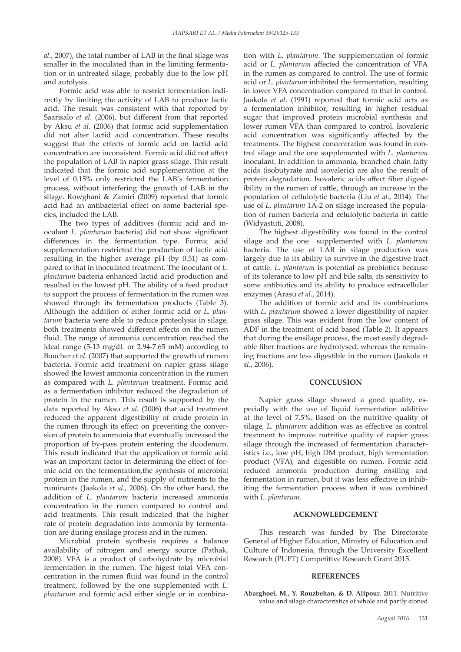*al*., 2007), the total number of LAB in the final silage was smaller in the inoculated than in the limiting fermentation or in untreated silage, probably due to the low pH and autolysis.

Formic acid was able to restrict fermentation indirectly by limiting the activity of LAB to produce lactic acid. The result was consistent with that reported by Saarisalo *et al.* (2006), but different from that reported by Aksu *et al*. (2006) that formic acid supplementation did not alter lactid acid concentration. These results suggest that the effects of formic acid on lactid acid concentration are inconsistent. Formic acid did not affect the population of LAB in napier grass silage. This result indicated that the formic acid supplementation at the level of 0.15% only restricted the LAB's fermentation process, without interfering the growth of LAB in the silage. Rowghani & Zamiri (2009) reported that formic acid had an antibacterial effect on some bacterial species, included the LAB.

The two types of additives (formic acid and inoculant *L. plantarum* bacteria) did not show significant differences in the fermentation type. Formic acid supplementation restricted the production of lactic acid resulting in the higher average pH (by 0.51) as compared to that in inoculated treatment. The inoculant of *L. plantarum* bacteria enhanced lactid acid production and resulted in the lowest pH. The ability of a feed product to support the process of fermentation in the rumen was showed through its fermentation products (Table 3). Although the addition of either formic acid or *L. plantarum* bacteria were able to reduce proteolysis in silage, both treatments showed different effects on the rumen fluid. The range of ammonia concentration reached the ideal range (5-13 mg/dL or 2.94-7.65 mM) according to Boucher *et al.* (2007) that supported the growth of rumen bacteria. Formic acid treatment on napier grass silage showed the lowest ammonia concentration in the rumen as compared with *L. plantarum* treatment. Formic acid as a fermentation inhibitor reduced the degradation of protein in the rumen. This result is supported by the data reported by Aksu *et al.* (2006) that acid treatment reduced the apparent digestibility of crude protein in the rumen through its effect on preventing the conversion of protein to ammonia that eventually increased the proportion of by-pass protein entering the duodenum. This result indicated that the application of formic acid was an important factor in determining the effect of formic acid on the fermentation,the synthesis of microbial protein in the rumen, and the supply of nutrients to the ruminants (Jaakola *et al.,* 2006). On the other hand, the addition of *L. plantarum* bacteria increased ammonia concentration in the rumen compared to control and acid treatments. This result indicated that the higher rate of protein degradation into ammonia by fermentation are during ensilage process and in the rumen.

Microbial protein synthesis requires a balance availability of nitrogen and energy source (Pathak, 2008). VFA is a product of carbohydrate by microbial fermentation in the rumen. The higest total VFA concentration in the rumen fluid was found in the control treatment, followed by the one supplemented with *L. plantarum* and formic acid either single or in combination with *L. plantarum*. The supplementation of formic acid or *L. plantarum* affected the concentration of VFA in the rumen as compared to control. The use of formic acid or *L. plantarum* inhibited the fermentation, resulting in lower VFA concentration compared to that in control. Jaakola *et al*. (1991) reported that formic acid acts as a fermentation inhibitor, resulting in higher residual sugar that improved protein microbial synthesis and lower rumen VFA than compared to control. Isovaleric acid concentration was significantly affected by the treatments. The highest concentration was found in control silage and the one supplemented with *L. plantarum* inoculant. In addition to ammonia, branched chain fatty acids (isobutyrate and isovaleric) are also the result of protein degradation. Isovaleric acids affect fiber digestibility in the rumen of cattle, through an increase in the population of cellulolytic bacteria (Liu *et al*., 2014). The use of *L. plantarum* 1A-2 on silage increased the population of rumen bacteria and celulolytic bacteria in cattle (Widyastuti, 2008).

The highest digestibility was found in the control silage and the one supplemented with *L. plantarum* bacteria. The use of LAB in silage production was largely due to its ability to survive in the digestive tract of cattle. *L. plantarum* is potential as probiotics because of its tolerance to low pH and bile salts, its sensitivity to some antibiotics and its ability to produce extracellular enzymes (Arasu *et al*., 2014).

The addition of formic acid and its combinations with *L. plantarum* showed a lower digestibility of napier grass silage. This was evident from the low content of ADF in the treatment of acid based (Table 2). It appears that during the ensilage process, the most easily degradable fiber fractions are hydrolysed, whereas the remaining fractions are less digestible in the rumen (Jaakola *et al*., 2006).

#### **CONCLUSION**

Napier grass silage showed a good quality, especially with the use of liquid fermentation additive at the level of 7.5%. Based on the nutritive quality of silage, *L. plantarum* addition was as effective as control treatment to improve nutritive quality of napier grass silage through the increased of fermentation characteristics i.e., low pH, high DM product, high fermentation product (VFA), and digestible on rumen. Formic acid reduced ammonia production during ensiling and fermentation in rumen, but it was less effective in inhibiting the fermentation process when it was combined with *L. plantarum.*

#### **ACKNOWLEDGEMENT**

This research was funded by The Directorate General of Higher Education, Ministry of Education and Culture of Indonesia, through the University Excellent Research (PUPT) Competitive Research Grant 2015.

#### **REFERENCES**

**Abarghoei, M., Y. Rouzbehan, & D. Alipour.** 2011. Nutritive value and silage characteristics of whole and partly stoned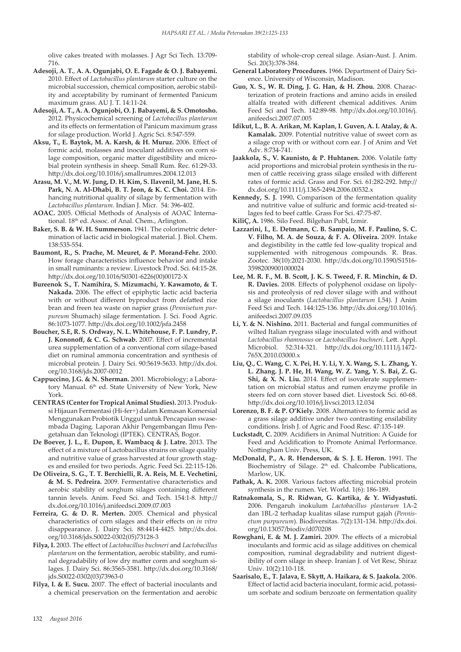olive cakes treated with molasses. J Agr Sci Tech. 13:709- 716.

- **Adesoji, A. T.**, **A. A. Ogunjabi, O. E. Fagade & O. J. Babayemi.** 2010. Effect of *Lactobacillus plantarum* starter culture on the microbial succession, chemical composition, aerobic stability and acceptability by ruminant of fermented Panicum maximum grass. AU J. T. 14:11-24.
- **Adesoji, A. T., A. A. Ogunjobi, O. J. Babayemi, & S. Omotosho.**  2012. Physicochemical screening of *Lactobacillus plantarum* and its effects on fermentation of Panicum maximum grass for silage production. World J. Agric Sci. 8:547-559.
- **Aksu, T., E. Baytok, M. A. Karsh, & H. Muruz.** 2006. Effect of formic acid, molasses and inoculant additives on corn silage composition, organic matter digestibility and microbial protein synthesis in sheep. Small Rum. Rec. 61:29-33. http://dx.doi.org/10.1016/j.smallrumres.2004.12.013
- **Arasu, M. V., M. W. Jung, D. H. Kim, S. Ilavenil, M. Jane, H. S. Park, N. A. Al-Dhabi, B. T. Jeon, & K. C. Choi.** 2014. Enhancing nutritional quality of silage by fermentation with *Lactobacillus plantarum*. Indian J. Micr. 54: 396-402.
- **AOAC.** 2005. Official Methods of Analysis of AOAC International. 18<sup>th</sup> ed. Assoc. of Anal. Chem., Arlington.
- **Baker, S. B. & W. H. Summerson.** 1941. The colorimetric determination of lactic acid in biological material. J. Biol. Chem. 138:535-554.
- **Baumont, R., S. Prache, M. Meuret, & P. Morand-Fehr.** 2000. How forage characteristics influence behavior and intake in small ruminants: a review. Livestock Prod. Sci. 64:15-28. http://dx.doi.org/10.1016/S0301-6226(00)00172-X
- **Bureenok S., T. Namihira, S. Mizumachi, Y. Kawamoto, & T. Nakada.** 2006. The effect of epiphytic lactic acid bacteria with or without different byproduct from defatted rice bran and freen tea waste on napier grass (*Pennisetum purpureum* Shumach) silage fermentation. J. Sci. Food Agric. 86:1073-1077. http://dx.doi.org/10.1002/jsfa.2458
- **Boucher, S.E, R. S. Ordway, N. L. Whitehouse, F. P. Lundry, P. J. Kononoff, & C. G. Schwab.** 2007. Effect of incremental urea supplementation of a conventional corn silage-based diet on ruminal ammonia concentration and synthesis of microbial protein. J. Dairy Sci. 90:5619-5633. http://dx.doi. org/10.3168/jds.2007-0012
- **Cappuccino, J.G. & N. Sherman.** 2001. Microbiology; a Laboratory Manual. 6<sup>th</sup> ed. State University of New York, New York.
- **CENTRAS (Center for Tropical Animal Studies).** 2013. Produksi Hijauan Fermentasi (Hi-fer+) dalam Kemasan Komersial Menggunakan Probiotik Unggul untuk Pencapaian swasembada Daging. Laporan Akhir Pengembangan Ilmu Pengetahuan dan Teknologi (IPTEK). CENTRAS, Bogor.
- **De Boever, J. L., E. Dupon, E. Wambacq & J. Latre.** 2013. The effect of a mixture of Lactobacillus strains on silage quality and nutritive value of grass harvested at four growth stages and ensiled for two periods. Agric. Feed Sci. 22:115-126.
- **De Oliveira, S. G., T. T. Berchielli, R. A. Reis, M. E. Vechetini, & M. S. Pedreira.** 2009. Fermentative characteristics and aerobic stability of sorghum silages containing different tannin levels. Anim. Feed Sci. and Tech. 154:1-8. http:// dx.doi.org/10.1016/j.anifeedsci.2009.07.003
- **Ferreira, G. & D. R. Merten.** 2005. Chemical and physical characteristics of corn silages and their effects on *in vitro* disappearance. J. Dairy Sci. 88:4414-4425. http://dx.doi. org/10.3168/jds.S0022-0302(05)73128-3
- **Filya, I.** 2003. The effect of *Lactobacillus buchneri* and *Lactobacillus plantarum* on the fermentation, aerobic stability, and ruminal degradability of low dry matter corm and sorghum silages. J. Dairy Sci. 86:3565-3581. http://dx.doi.org/10.3168/ jds.S0022-0302(03)73963-0
- **Filya, I. & E. Sucu.** 2007. The effect of bacterial inoculants and a chemical preservation on the fermentation and aerobic

stability of whole-crop cereal silage. Asian-Aust. J. Anim. Sci. 20(3):378-384.

- **General Laboratory Procedures.** 1966. Department of Dairy Science. University of Wisconsin, Madison.
- **Guo, X. S., W. R. Ding, J. G. Han, & H. Zhou.** 2008. Characterization of protein fractions and amino acids in ensiled alfalfa treated with different chemical additives. Anim Feed Sci and Tech. 142:89-98. http://dx.doi.org/10.1016/j. anifeedsci.2007.07.005
- **Idikut, L., B. A. Arikan, M. Kaplan, I. Guven, A. I. Atalay, & A. Kamalak.** 2009. Potential nutritive value of sweet corn as a silage crop with or without corn ear. J of Anim and Vet Adv. 8:734-741.
- **Jaakkola, S., V. Kaunisto, & P. Huhtanen.** 2006. Volatile fatty acid proportions and microbial protein synthesis in the rumen of cattle receiving grass silage ensiled with different rates of formic acid. Grass and For. Sci. 61:282-292. http:// dx.doi.org/10.1111/j.1365-2494.2006.00532.x
- **Kennedy, S. J.** 1990**.** Comparison of the fermentation quality and nutritive value of sulfuric and formic acid-treated silages fed to beef cattle. Grass For Sci. 47:75-87.
- **KiliÇ, A.** 1986. Silo Feed. Bilgehan Publ, Izmir.
- **Lazzarini, I., E. Detmann, C. B. Sampaio, M. F. Paulino, S. C. V. Filho, M. A. de Souza, & F. A. Oliveira.** 2009. Intake and degistibility in the cattle fed low-quality tropical and supplemented with nitrogenous compounds. R. Bras. Zootec. 38(10):2021-2030. http://dx.doi.org/10.1590/S1516- 35982009001000024
- **Lee, M. R. F., M. B. Scott, J. K. S. Tweed, F. R. Minchin, & D. R. Davies.** 2008. Effects of polyphenol oxidase on lipolysis and proteolysis of red clover silage with and without a silage inoculants (*Lactobacillus plantarum* L54). J Anim Feed Sci and Tech. 144:125-136. http://dx.doi.org/10.1016/j. anifeedsci.2007.09.035
- **Li, Y. & N. Nishino.** 2011. Bacterial and fungal communities of wilted Italian ryegrass silage inoculated with and without *Lactobacillus rhamnosus* or *Lactobacillus buchneri*. Lett. Appl. Microbiol. 52:314-321. http://dx.doi.org/10.1111/j.1472- 765X.2010.03000.x
- **Liu, Q., C. Wang, C. X. Pei, H. Y. Li, Y. X. Wang, S. L. Zhang, Y. L. Zhang. J. P. He, H. Wang, W. Z. Yang, Y. S. Bai, Z. G. Shi, & X. N. Liu.** 2014. Effect of isovalerate supplementation on microbial status and rumen enzyme profile in steers fed on corn stover based diet. Livestock Sci. 60-68. http://dx.doi.org/10.1016/j.livsci.2013.12.034
- **Lorenzo, B. F. & P. O'Kiely.** 2008. Alternatives to formic acid as a grass silage additive under two contrasting ensilability conditions. Irish J. of Agric and Food Resc. 47:135-149.
- **Luckstadt, C.** 2009. Acidifiers in Animal Nutrition: A Guide for Feed and Acidification to Promote Animal Performance. Nottingham Univ. Press, UK.
- **McDonald, P., A. R. Henderson, & S. J. E. Heron.** 1991. The Biochemistry of Silage. 2<sup>th</sup> ed. Chalcombe Publications, Marlow, UK.
- **Pathak, A. K.** 2008. Various factors affecting microbial protein synthesis in the rumen. Vet. World. 1(6): 186-189.
- **Ratnakomala, S., R. Ridwan, G. Kartika, & Y. Widyastuti.** 2006. Pengaruh inokulum *Lactobacillus plantarum* 1A-2 dan 1BL-2 terhadap kualitas silase rumput gajah (*Pennisetum purpureum*). Biodiversitas. 7(2):131-134. http://dx.doi. org/10.13057/biodiv/d070208
- **Rowghani, E. & M. J. Zamiri.** 2009. The effects of a microbial inoculants and formic acid as silage additives on chemical composition, ruminal degradability and nutrient digestibility of corn silage in sheep. Iranian J. of Vet Resc, Shiraz Univ. 10(2):110-118.
- **Saarisalo, E., T. Jalava, E. Skytt, A. Haikara, & S. Jaakola.** 2006. Effect of lactid acid bacteria inoculant, formic acid, potassium sorbate and sodium benzoate on fermentation quality